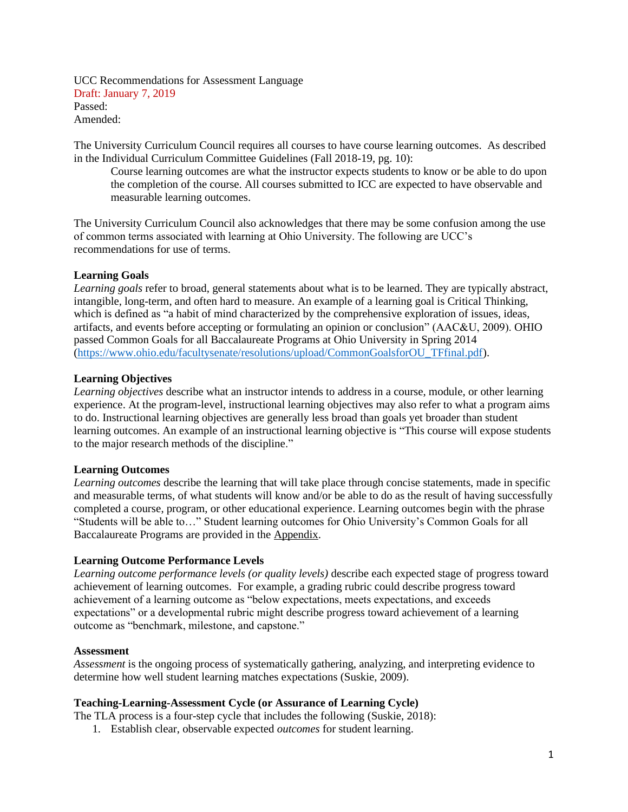UCC Recommendations for Assessment Language Draft: January 7, 2019 Passed: Amended:

The University Curriculum Council requires all courses to have course learning outcomes. As described in the Individual Curriculum Committee Guidelines (Fall 2018-19, pg. 10):

Course learning outcomes are what the instructor expects students to know or be able to do upon the completion of the course. All courses submitted to ICC are expected to have observable and measurable learning outcomes.

The University Curriculum Council also acknowledges that there may be some confusion among the use of common terms associated with learning at Ohio University. The following are UCC's recommendations for use of terms.

#### **Learning Goals**

*Learning goals* refer to broad, general statements about what is to be learned. They are typically abstract, intangible, long-term, and often hard to measure. An example of a learning goal is Critical Thinking, which is defined as "a habit of mind characterized by the comprehensive exploration of issues, ideas, artifacts, and events before accepting or formulating an opinion or conclusion" (AAC&U, 2009). OHIO passed Common Goals for all Baccalaureate Programs at Ohio University in Spring 2014 [\(https://www.ohio.edu/facultysenate/resolutions/upload/CommonGoalsforOU\\_TFfinal.pdf\)](https://www.ohio.edu/facultysenate/resolutions/upload/CommonGoalsforOU_TFfinal.pdf).

#### **Learning Objectives**

*Learning objectives* describe what an instructor intends to address in a course, module, or other learning experience. At the program-level, instructional learning objectives may also refer to what a program aims to do. Instructional learning objectives are generally less broad than goals yet broader than student learning outcomes. An example of an instructional learning objective is "This course will expose students to the major research methods of the discipline."

#### **Learning Outcomes**

*Learning outcomes* describe the learning that will take place through concise statements, made in specific and measurable terms, of what students will know and/or be able to do as the result of having successfully completed a course, program, or other educational experience. Learning outcomes begin with the phrase "Students will be able to…" Student learning outcomes for Ohio University's Common Goals for all Baccalaureate Programs are provided in the Appendix.

#### **Learning Outcome Performance Levels**

*Learning outcome performance levels (or quality levels)* describe each expected stage of progress toward achievement of learning outcomes. For example, a grading rubric could describe progress toward achievement of a learning outcome as "below expectations, meets expectations, and exceeds expectations" or a developmental rubric might describe progress toward achievement of a learning outcome as "benchmark, milestone, and capstone."

#### **Assessment**

*Assessment* is the ongoing process of systematically gathering, analyzing, and interpreting evidence to determine how well student learning matches expectations (Suskie, 2009).

### **Teaching-Learning-Assessment Cycle (or Assurance of Learning Cycle)**

The TLA process is a four-step cycle that includes the following (Suskie, 2018):

1. Establish clear, observable expected *outcomes* for student learning.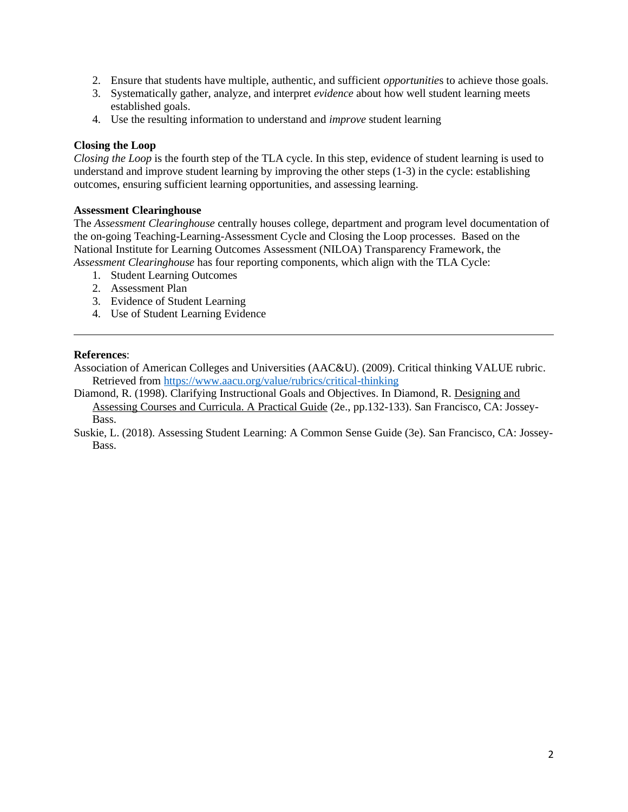- 2. Ensure that students have multiple, authentic, and sufficient *opportunitie*s to achieve those goals.
- 3. Systematically gather, analyze, and interpret *evidence* about how well student learning meets established goals.
- 4. Use the resulting information to understand and *improve* student learning

### **Closing the Loop**

*Closing the Loop* is the fourth step of the TLA cycle. In this step, evidence of student learning is used to understand and improve student learning by improving the other steps (1-3) in the cycle: establishing outcomes, ensuring sufficient learning opportunities, and assessing learning.

### **Assessment Clearinghouse**

The *Assessment Clearinghouse* centrally houses college, department and program level documentation of the on-going Teaching-Learning-Assessment Cycle and Closing the Loop processes. Based on the National Institute for Learning Outcomes Assessment (NILOA) Transparency Framework, the *Assessment Clearinghouse* has four reporting components, which align with the TLA Cycle:

- 1. Student Learning Outcomes
- 2. Assessment Plan
- 3. Evidence of Student Learning
- 4. Use of Student Learning Evidence

### **References**:

Association of American Colleges and Universities (AAC&U). (2009). Critical thinking VALUE rubric. Retrieved from<https://www.aacu.org/value/rubrics/critical-thinking>

Diamond, R. (1998). Clarifying Instructional Goals and Objectives. In Diamond, R. Designing and Assessing Courses and Curricula. A Practical Guide (2e., pp.132-133). San Francisco, CA: Jossey-**Bass** 

Suskie, L. (2018). Assessing Student Learning: A Common Sense Guide (3e). San Francisco, CA: Jossey-Bass.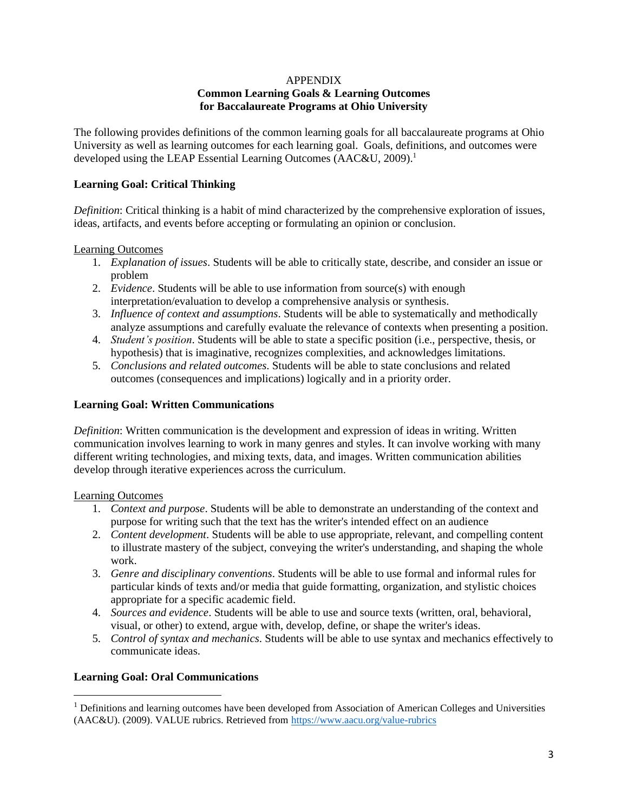#### APPENDIX **Common Learning Goals & Learning Outcomes for Baccalaureate Programs at Ohio University**

The following provides definitions of the common learning goals for all baccalaureate programs at Ohio University as well as learning outcomes for each learning goal. Goals, definitions, and outcomes were developed using the LEAP Essential Learning Outcomes (AAC&U, 2009).<sup>1</sup>

## **Learning Goal: Critical Thinking**

*Definition*: Critical thinking is a habit of mind characterized by the comprehensive exploration of issues, ideas, artifacts, and events before accepting or formulating an opinion or conclusion.

Learning Outcomes

- 1. *Explanation of issues*. Students will be able to critically state, describe, and consider an issue or problem
- 2. *Evidence*. Students will be able to use information from source(s) with enough interpretation/evaluation to develop a comprehensive analysis or synthesis.
- 3. *Influence of context and assumptions*. Students will be able to systematically and methodically analyze assumptions and carefully evaluate the relevance of contexts when presenting a position.
- 4. *Student's position*. Students will be able to state a specific position (i.e., perspective, thesis, or hypothesis) that is imaginative, recognizes complexities, and acknowledges limitations.
- 5. *Conclusions and related outcomes*. Students will be able to state conclusions and related outcomes (consequences and implications) logically and in a priority order.

### **Learning Goal: Written Communications**

*Definition*: Written communication is the development and expression of ideas in writing. Written communication involves learning to work in many genres and styles. It can involve working with many different writing technologies, and mixing texts, data, and images. Written communication abilities develop through iterative experiences across the curriculum.

### Learning Outcomes

- 1. *Context and purpose*. Students will be able to demonstrate an understanding of the context and purpose for writing such that the text has the writer's intended effect on an audience
- 2. *Content development*. Students will be able to use appropriate, relevant, and compelling content to illustrate mastery of the subject, conveying the writer's understanding, and shaping the whole work.
- 3. *Genre and disciplinary conventions*. Students will be able to use formal and informal rules for particular kinds of texts and/or media that guide formatting, organization, and stylistic choices appropriate for a specific academic field.
- 4. *Sources and evidence*. Students will be able to use and source texts (written, oral, behavioral, visual, or other) to extend, argue with, develop, define, or shape the writer's ideas.
- 5. *Control of syntax and mechanics*. Students will be able to use syntax and mechanics effectively to communicate ideas.

### **Learning Goal: Oral Communications**

 $<sup>1</sup>$  Definitions and learning outcomes have been developed from Association of American Colleges and Universities</sup> (AAC&U). (2009). VALUE rubrics. Retrieved from<https://www.aacu.org/value-rubrics>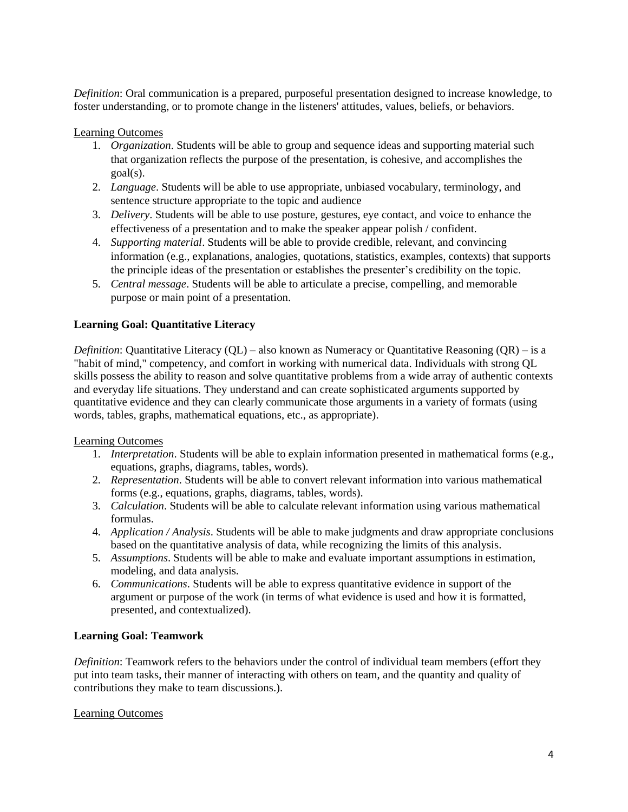*Definition*: Oral communication is a prepared, purposeful presentation designed to increase knowledge, to foster understanding, or to promote change in the listeners' attitudes, values, beliefs, or behaviors.

### Learning Outcomes

- 1. *Organization*. Students will be able to group and sequence ideas and supporting material such that organization reflects the purpose of the presentation, is cohesive, and accomplishes the goal(s).
- 2. *Language*. Students will be able to use appropriate, unbiased vocabulary, terminology, and sentence structure appropriate to the topic and audience
- 3. *Delivery*. Students will be able to use posture, gestures, eye contact, and voice to enhance the effectiveness of a presentation and to make the speaker appear polish / confident.
- 4. *Supporting material*. Students will be able to provide credible, relevant, and convincing information (e.g., explanations, analogies, quotations, statistics, examples, contexts) that supports the principle ideas of the presentation or establishes the presenter's credibility on the topic.
- 5. *Central message*. Students will be able to articulate a precise, compelling, and memorable purpose or main point of a presentation.

## **Learning Goal: Quantitative Literacy**

*Definition*: Quantitative Literacy (QL) – also known as Numeracy or Quantitative Reasoning (QR) – is a "habit of mind," competency, and comfort in working with numerical data. Individuals with strong QL skills possess the ability to reason and solve quantitative problems from a wide array of authentic contexts and everyday life situations. They understand and can create sophisticated arguments supported by quantitative evidence and they can clearly communicate those arguments in a variety of formats (using words, tables, graphs, mathematical equations, etc., as appropriate).

### Learning Outcomes

- 1. *Interpretation*. Students will be able to explain information presented in mathematical forms (e.g., equations, graphs, diagrams, tables, words).
- 2. *Representation*. Students will be able to convert relevant information into various mathematical forms (e.g., equations, graphs, diagrams, tables, words).
- 3. *Calculation*. Students will be able to calculate relevant information using various mathematical formulas.
- 4. *Application / Analysis*. Students will be able to make judgments and draw appropriate conclusions based on the quantitative analysis of data, while recognizing the limits of this analysis.
- 5. *Assumptions*. Students will be able to make and evaluate important assumptions in estimation, modeling, and data analysis.
- 6. *Communications*. Students will be able to express quantitative evidence in support of the argument or purpose of the work (in terms of what evidence is used and how it is formatted, presented, and contextualized).

## **Learning Goal: Teamwork**

*Definition*: Teamwork refers to the behaviors under the control of individual team members (effort they put into team tasks, their manner of interacting with others on team, and the quantity and quality of contributions they make to team discussions.).

### Learning Outcomes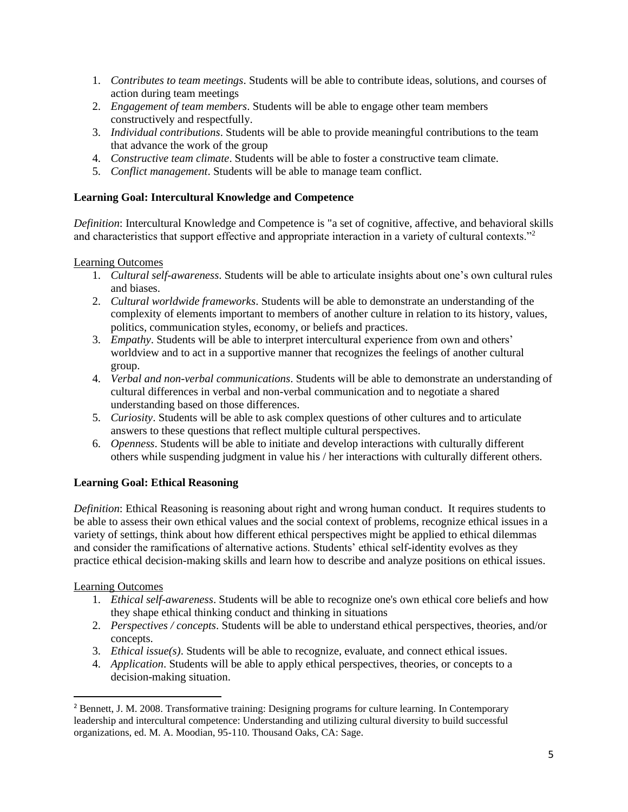- 1. *Contributes to team meetings*. Students will be able to contribute ideas, solutions, and courses of action during team meetings
- 2. *Engagement of team members*. Students will be able to engage other team members constructively and respectfully.
- 3. *Individual contributions*. Students will be able to provide meaningful contributions to the team that advance the work of the group
- 4. *Constructive team climate*. Students will be able to foster a constructive team climate.
- 5. *Conflict management*. Students will be able to manage team conflict.

## **Learning Goal: Intercultural Knowledge and Competence**

*Definition*: Intercultural Knowledge and Competence is "a set of cognitive, affective, and behavioral skills and characteristics that support effective and appropriate interaction in a variety of cultural contexts."<sup>2</sup>

## Learning Outcomes

- 1. *Cultural self-awareness*. Students will be able to articulate insights about one's own cultural rules and biases.
- 2. *Cultural worldwide frameworks*. Students will be able to demonstrate an understanding of the complexity of elements important to members of another culture in relation to its history, values, politics, communication styles, economy, or beliefs and practices.
- 3. *Empathy*. Students will be able to interpret intercultural experience from own and others' worldview and to act in a supportive manner that recognizes the feelings of another cultural group.
- 4. *Verbal and non-verbal communications*. Students will be able to demonstrate an understanding of cultural differences in verbal and non-verbal communication and to negotiate a shared understanding based on those differences.
- 5. *Curiosity*. Students will be able to ask complex questions of other cultures and to articulate answers to these questions that reflect multiple cultural perspectives.
- 6. *Openness*. Students will be able to initiate and develop interactions with culturally different others while suspending judgment in value his / her interactions with culturally different others.

# **Learning Goal: Ethical Reasoning**

*Definition*: Ethical Reasoning is reasoning about right and wrong human conduct. It requires students to be able to assess their own ethical values and the social context of problems, recognize ethical issues in a variety of settings, think about how different ethical perspectives might be applied to ethical dilemmas and consider the ramifications of alternative actions. Students' ethical self-identity evolves as they practice ethical decision-making skills and learn how to describe and analyze positions on ethical issues.

## Learning Outcomes

- 1. *Ethical self-awareness*. Students will be able to recognize one's own ethical core beliefs and how they shape ethical thinking conduct and thinking in situations
- 2. *Perspectives / concepts*. Students will be able to understand ethical perspectives, theories, and/or concepts.
- 3. *Ethical issue(s)*. Students will be able to recognize, evaluate, and connect ethical issues.
- 4. *Application*. Students will be able to apply ethical perspectives, theories, or concepts to a decision-making situation.

<sup>2</sup> Bennett, J. M. 2008. Transformative training: Designing programs for culture learning. In Contemporary leadership and intercultural competence: Understanding and utilizing cultural diversity to build successful organizations, ed. M. A. Moodian, 95-110. Thousand Oaks, CA: Sage.